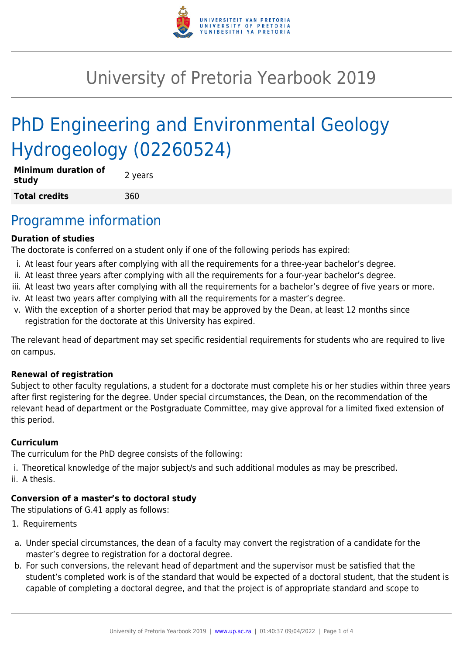

# University of Pretoria Yearbook 2019

# PhD Engineering and Environmental Geology Hydrogeology (02260524)

| <b>Minimum duration of</b><br>study | 2 years |
|-------------------------------------|---------|
| <b>Total credits</b>                | 360     |

### Programme information

#### **Duration of studies**

The doctorate is conferred on a student only if one of the following periods has expired:

- i. At least four years after complying with all the requirements for a three-year bachelor's degree.
- ii. At least three years after complying with all the requirements for a four-year bachelor's degree.
- iii. At least two years after complying with all the requirements for a bachelor's degree of five years or more.
- iv. At least two years after complying with all the requirements for a master's degree.
- v. With the exception of a shorter period that may be approved by the Dean, at least 12 months since registration for the doctorate at this University has expired.

The relevant head of department may set specific residential requirements for students who are required to live on campus.

#### **Renewal of registration**

Subject to other faculty regulations, a student for a doctorate must complete his or her studies within three years after first registering for the degree. Under special circumstances, the Dean, on the recommendation of the relevant head of department or the Postgraduate Committee, may give approval for a limited fixed extension of this period.

#### **Curriculum**

The curriculum for the PhD degree consists of the following:

i. Theoretical knowledge of the major subject/s and such additional modules as may be prescribed. ii. A thesis.

#### **Conversion of a master's to doctoral study**

The stipulations of G.41 apply as follows:

- 1. Requirements
- a. Under special circumstances, the dean of a faculty may convert the registration of a candidate for the master's degree to registration for a doctoral degree.
- b. For such conversions, the relevant head of department and the supervisor must be satisfied that the student's completed work is of the standard that would be expected of a doctoral student, that the student is capable of completing a doctoral degree, and that the project is of appropriate standard and scope to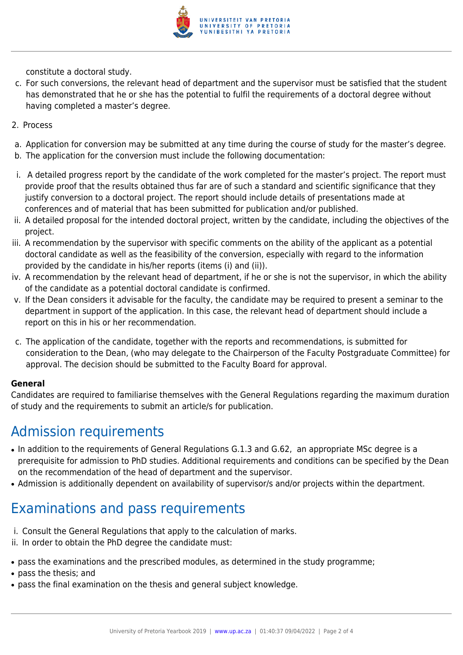

constitute a doctoral study.

- c. For such conversions, the relevant head of department and the supervisor must be satisfied that the student has demonstrated that he or she has the potential to fulfil the requirements of a doctoral degree without having completed a master's degree.
- 2. Process
- a. Application for conversion may be submitted at any time during the course of study for the master's degree.
- b. The application for the conversion must include the following documentation:
- i. A detailed progress report by the candidate of the work completed for the master's project. The report must provide proof that the results obtained thus far are of such a standard and scientific significance that they justify conversion to a doctoral project. The report should include details of presentations made at conferences and of material that has been submitted for publication and/or published.
- ii. A detailed proposal for the intended doctoral project, written by the candidate, including the objectives of the project.
- iii. A recommendation by the supervisor with specific comments on the ability of the applicant as a potential doctoral candidate as well as the feasibility of the conversion, especially with regard to the information provided by the candidate in his/her reports (items (i) and (ii)).
- iv. A recommendation by the relevant head of department, if he or she is not the supervisor, in which the ability of the candidate as a potential doctoral candidate is confirmed.
- v. If the Dean considers it advisable for the faculty, the candidate may be required to present a seminar to the department in support of the application. In this case, the relevant head of department should include a report on this in his or her recommendation.
- c. The application of the candidate, together with the reports and recommendations, is submitted for consideration to the Dean, (who may delegate to the Chairperson of the Faculty Postgraduate Committee) for approval. The decision should be submitted to the Faculty Board for approval.

#### **General**

Candidates are required to familiarise themselves with the General Regulations regarding the maximum duration of study and the requirements to submit an article/s for publication.

### Admission requirements

- In addition to the requirements of General Regulations G.1.3 and G.62, an appropriate MSc degree is a prerequisite for admission to PhD studies. Additional requirements and conditions can be specified by the Dean on the recommendation of the head of department and the supervisor.
- Admission is additionally dependent on availability of supervisor/s and/or projects within the department.

## Examinations and pass requirements

- i. Consult the General Regulations that apply to the calculation of marks.
- ii. In order to obtain the PhD degree the candidate must:
- pass the examinations and the prescribed modules, as determined in the study programme;
- pass the thesis; and
- pass the final examination on the thesis and general subject knowledge.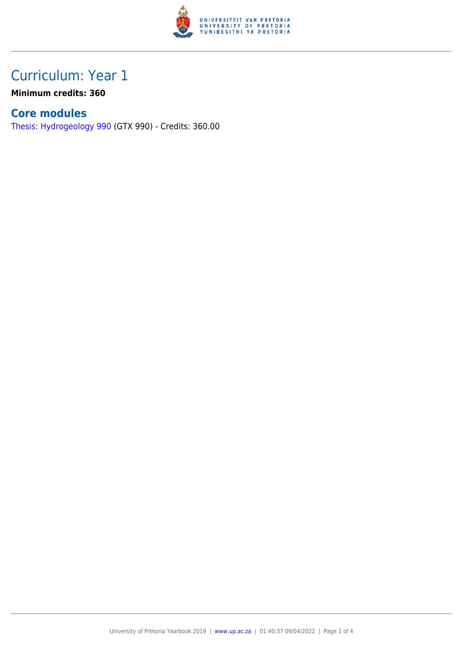

## Curriculum: Year 1

**Minimum credits: 360**

### **Core modules**

[Thesis: Hydrogeology 990](https://www.up.ac.za/faculty-of-education/yearbooks/2019/modules/view/GTX 990) (GTX 990) - Credits: 360.00